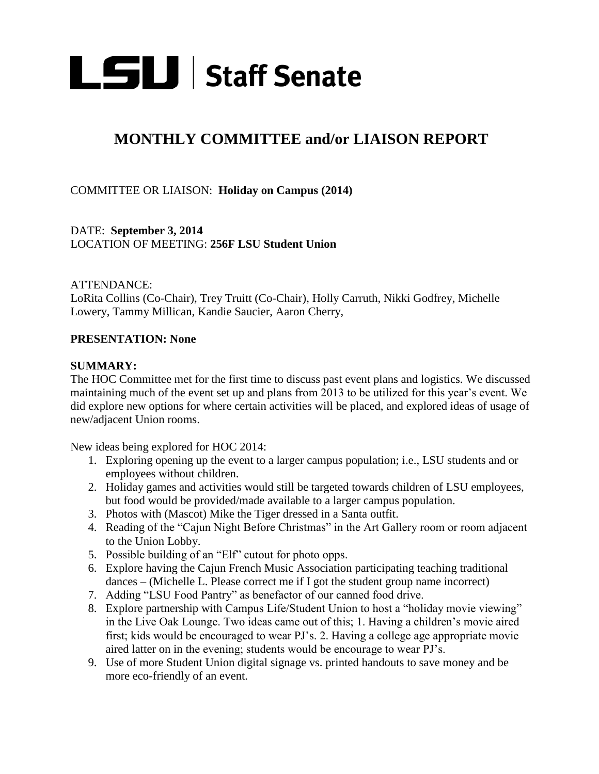

## **MONTHLY COMMITTEE and/or LIAISON REPORT**

COMMITTEE OR LIAISON: **Holiday on Campus (2014)** 

DATE: **September 3, 2014** LOCATION OF MEETING: **256F LSU Student Union** 

ATTENDANCE:

LoRita Collins (Co-Chair), Trey Truitt (Co-Chair), Holly Carruth, Nikki Godfrey, Michelle Lowery, Tammy Millican, Kandie Saucier, Aaron Cherry,

## **PRESENTATION: None**

## **SUMMARY:**

The HOC Committee met for the first time to discuss past event plans and logistics. We discussed maintaining much of the event set up and plans from 2013 to be utilized for this year's event. We did explore new options for where certain activities will be placed, and explored ideas of usage of new/adjacent Union rooms.

New ideas being explored for HOC 2014:

- 1. Exploring opening up the event to a larger campus population; i.e., LSU students and or employees without children.
- 2. Holiday games and activities would still be targeted towards children of LSU employees, but food would be provided/made available to a larger campus population.
- 3. Photos with (Mascot) Mike the Tiger dressed in a Santa outfit.
- 4. Reading of the "Cajun Night Before Christmas" in the Art Gallery room or room adjacent to the Union Lobby.
- 5. Possible building of an "Elf" cutout for photo opps.
- 6. Explore having the Cajun French Music Association participating teaching traditional dances – (Michelle L. Please correct me if I got the student group name incorrect)
- 7. Adding "LSU Food Pantry" as benefactor of our canned food drive.
- 8. Explore partnership with Campus Life/Student Union to host a "holiday movie viewing" in the Live Oak Lounge. Two ideas came out of this; 1. Having a children's movie aired first; kids would be encouraged to wear PJ's. 2. Having a college age appropriate movie aired latter on in the evening; students would be encourage to wear PJ's.
- 9. Use of more Student Union digital signage vs. printed handouts to save money and be more eco-friendly of an event.